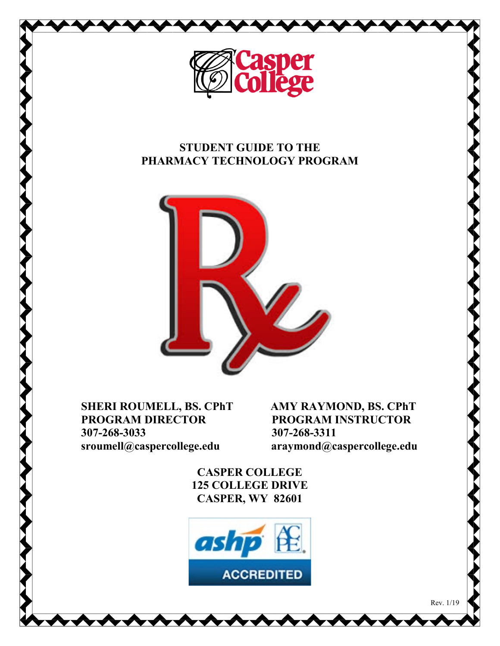

## **STUDENT GUIDE TO THE PHARMACY TECHNOLOGY PROGRAM**



**SHERI ROUMELL, BS. CPhT AMY RAYMOND, BS. CPhT PROGRAM INSTRUCTOR PROGRAM DIRECTOR 307-268-3033 307-268-3311**<br>sroumell@caspercollege.edu **307-268-3311** 

 **sroumell@caspercollege.edu araymond@caspercollege.edu**

Rev. 1/19

**CASPER COLLEGE 125 COLLEGE DRIVE CASPER, WY 82601**

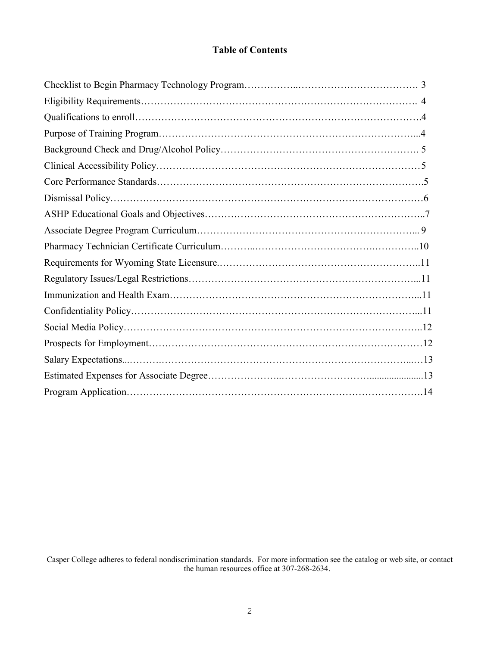#### **Table of Contents**

Casper College adheres to federal nondiscrimination standards. For more information see the catalog or web site, or contact the human resources office at 307-268-2634.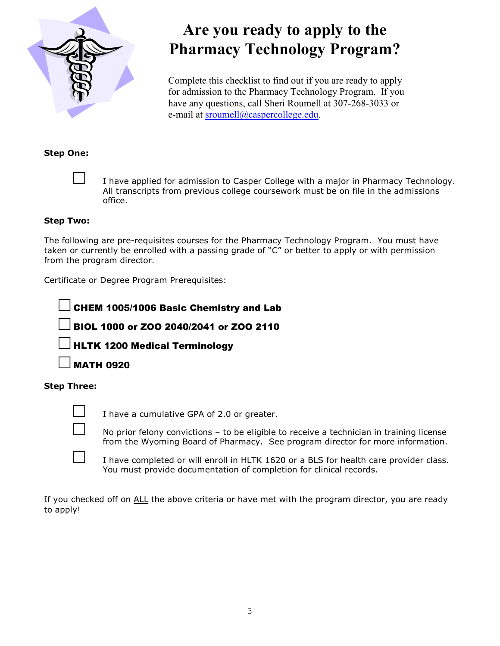

# **Are you ready to apply to the Pharmacy Technology Program?**

Complete this checklist to find out if you are ready to apply for admission to the Pharmacy Technology Program. If you have any questions, call Sheri Roumell at 307-268-3033 or e-mail at [sroumell@caspercollege.edu.](mailto:sroumell@caspercollege.edu)

#### **Step One:**



I have applied for admission to Casper College with a major in Pharmacy Technology. All transcripts from previous college coursework must be on file in the admissions office.

#### **Step Two:**

The following are pre-requisites courses for the Pharmacy Technology Program. You must have taken or currently be enrolled with a passing grade of "C" or better to apply or with permission from the program director.

Certificate or Degree Program Prerequisites:

CHEM 1005/1006 Basic Chemistry and Lab

□ BIOL 1000 or ZOO 2040/2041 or ZOO 2110

**HLTK 1200 Medical Terminology** 

**MATH 0920** 

#### **Step Three:**



 $\Box$  I have a cumulative GPA of 2.0 or greater.

No prior felony convictions  $-$  to be eligible to receive a technician in training license from the Wyoming Board of Pharmacy. See program director for more information.

I have completed or will enroll in HLTK 1620 or a BLS for health care provider class. You must provide documentation of completion for clinical records.

If you checked off on ALL the above criteria or have met with the program director, you are ready to apply!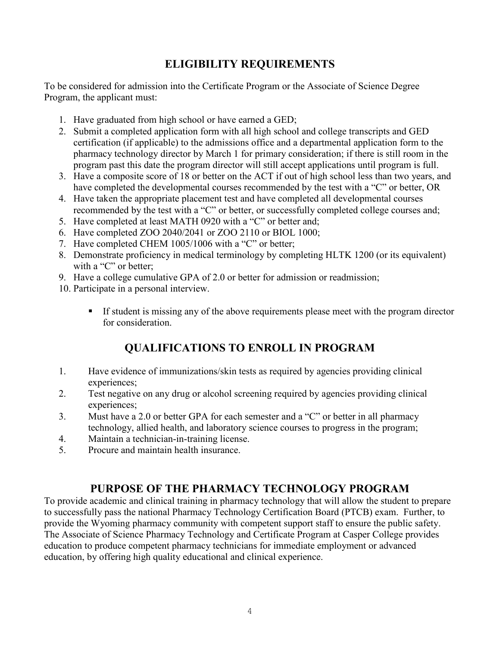## **ELIGIBILITY REQUIREMENTS**

To be considered for admission into the Certificate Program or the Associate of Science Degree Program, the applicant must:

- 1. Have graduated from high school or have earned a GED;
- 2. Submit a completed application form with all high school and college transcripts and GED certification (if applicable) to the admissions office and a departmental application form to the pharmacy technology director by March 1 for primary consideration; if there is still room in the program past this date the program director will still accept applications until program is full.
- 3. Have a composite score of 18 or better on the ACT if out of high school less than two years, and have completed the developmental courses recommended by the test with a "C" or better, OR
- 4. Have taken the appropriate placement test and have completed all developmental courses recommended by the test with a "C" or better, or successfully completed college courses and;
- 5. Have completed at least MATH 0920 with a "C" or better and;
- 6. Have completed ZOO 2040/2041 or ZOO 2110 or BIOL 1000;
- 7. Have completed CHEM 1005/1006 with a "C" or better;
- 8. Demonstrate proficiency in medical terminology by completing HLTK 1200 (or its equivalent) with a "C" or better;
- 9. Have a college cumulative GPA of 2.0 or better for admission or readmission;
- 10. Participate in a personal interview.
	- If student is missing any of the above requirements please meet with the program director for consideration.

## **QUALIFICATIONS TO ENROLL IN PROGRAM**

- 1. Have evidence of immunizations/skin tests as required by agencies providing clinical experiences;
- 2. Test negative on any drug or alcohol screening required by agencies providing clinical experiences;
- 3. Must have a 2.0 or better GPA for each semester and a "C" or better in all pharmacy technology, allied health, and laboratory science courses to progress in the program;
- 4. Maintain a technician-in-training license.
- 5. Procure and maintain health insurance.

## **PURPOSE OF THE PHARMACY TECHNOLOGY PROGRAM**

To provide academic and clinical training in pharmacy technology that will allow the student to prepare to successfully pass the national Pharmacy Technology Certification Board (PTCB) exam. Further, to provide the Wyoming pharmacy community with competent support staff to ensure the public safety. The Associate of Science Pharmacy Technology and Certificate Program at Casper College provides education to produce competent pharmacy technicians for immediate employment or advanced education, by offering high quality educational and clinical experience.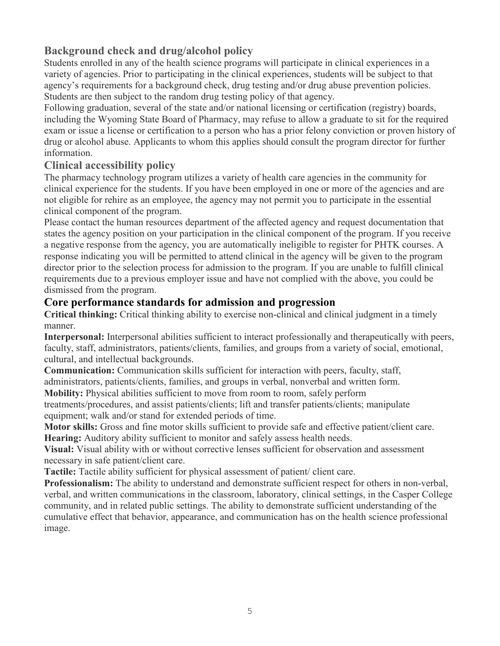## **Background check and drug/alcohol policy**

Students enrolled in any of the health science programs will participate in clinical experiences in a variety of agencies. Prior to participating in the clinical experiences, students will be subject to that agency's requirements for a background check, drug testing and/or drug abuse prevention policies. Students are then subject to the random drug testing policy of that agency.

Following graduation, several of the state and/or national licensing or certification (registry) boards, including the Wyoming State Board of Pharmacy, may refuse to allow a graduate to sit for the required exam or issue a license or certification to a person who has a prior felony conviction or proven history of drug or alcohol abuse. Applicants to whom this applies should consult the program director for further information.

## **Clinical accessibility policy**

The pharmacy technology program utilizes a variety of health care agencies in the community for clinical experience for the students. If you have been employed in one or more of the agencies and are not eligible for rehire as an employee, the agency may not permit you to participate in the essential clinical component of the program.

Please contact the human resources department of the affected agency and request documentation that states the agency position on your participation in the clinical component of the program. If you receive a negative response from the agency, you are automatically ineligible to register for PHTK courses. A response indicating you will be permitted to attend clinical in the agency will be given to the program director prior to the selection process for admission to the program. If you are unable to fulfill clinical requirements due to a previous employer issue and have not complied with the above, you could be dismissed from the program.

## **Core performance standards for admission and progression**

**Critical thinking:** Critical thinking ability to exercise non-clinical and clinical judgment in a timely manner.

**Interpersonal:** Interpersonal abilities sufficient to interact professionally and therapeutically with peers, faculty, staff, administrators, patients/clients, families, and groups from a variety of social, emotional, cultural, and intellectual backgrounds.

**Communication:** Communication skills sufficient for interaction with peers, faculty, staff, administrators, patients/clients, families, and groups in verbal, nonverbal and written form.

**Mobility:** Physical abilities sufficient to move from room to room, safely perform treatments/procedures, and assist patients/clients; lift and transfer patients/clients; manipulate equipment; walk and/or stand for extended periods of time.

**Motor skills:** Gross and fine motor skills sufficient to provide safe and effective patient/client care. **Hearing:** Auditory ability sufficient to monitor and safely assess health needs.

**Visual:** Visual ability with or without corrective lenses sufficient for observation and assessment necessary in safe patient/client care.

**Tactile:** Tactile ability sufficient for physical assessment of patient/ client care.

**Professionalism:** The ability to understand and demonstrate sufficient respect for others in non-verbal, verbal, and written communications in the classroom, laboratory, clinical settings, in the Casper College community, and in related public settings. The ability to demonstrate sufficient understanding of the cumulative effect that behavior, appearance, and communication has on the health science professional image.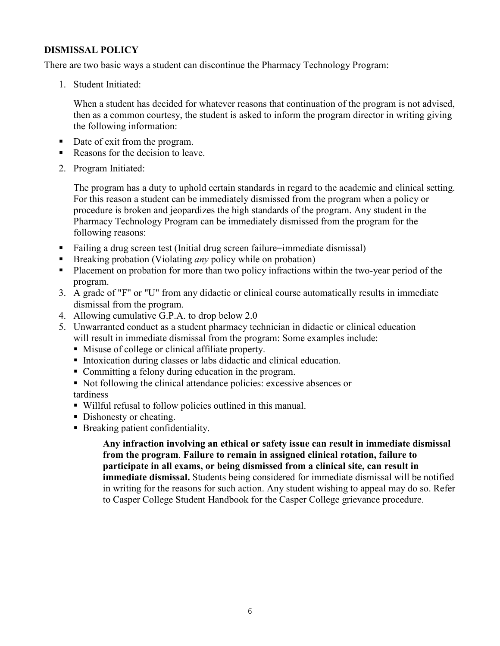#### **DISMISSAL POLICY**

There are two basic ways a student can discontinue the Pharmacy Technology Program:

1. Student Initiated:

When a student has decided for whatever reasons that continuation of the program is not advised, then as a common courtesy, the student is asked to inform the program director in writing giving the following information:

- Date of exit from the program.
- Reasons for the decision to leave.
- 2. Program Initiated:

The program has a duty to uphold certain standards in regard to the academic and clinical setting. For this reason a student can be immediately dismissed from the program when a policy or procedure is broken and jeopardizes the high standards of the program. Any student in the Pharmacy Technology Program can be immediately dismissed from the program for the following reasons:

- Failing a drug screen test (Initial drug screen failure=immediate dismissal)
- Breaking probation (Violating *any* policy while on probation)
- **Placement on probation for more than two policy infractions within the two-year period of the** program.
- 3. A grade of "F" or "U" from any didactic or clinical course automatically results in immediate dismissal from the program.
- 4. Allowing cumulative G.P.A. to drop below 2.0
- 5. Unwarranted conduct as a student pharmacy technician in didactic or clinical education will result in immediate dismissal from the program: Some examples include:
	- Misuse of college or clinical affiliate property.
	- Intoxication during classes or labs didactic and clinical education.
	- Committing a felony during education in the program.
	- Not following the clinical attendance policies: excessive absences or tardiness
	- Willful refusal to follow policies outlined in this manual.
	- Dishonesty or cheating.
	- Breaking patient confidentiality.

**Any infraction involving an ethical or safety issue can result in immediate dismissal from the program**. **Failure to remain in assigned clinical rotation, failure to participate in all exams, or being dismissed from a clinical site, can result in immediate dismissal.** Students being considered for immediate dismissal will be notified in writing for the reasons for such action. Any student wishing to appeal may do so. Refer to Casper College Student Handbook for the Casper College grievance procedure.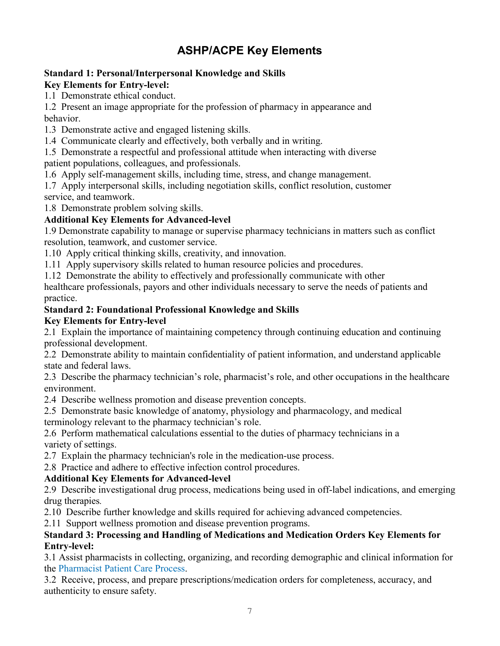## **ASHP/ACPE Key Elements**

## **Standard 1: Personal/Interpersonal Knowledge and Skills**

#### **Key Elements for Entry-level:**

1.1 Demonstrate ethical conduct.

1.2 Present an image appropriate for the profession of pharmacy in appearance and behavior.

1.3 Demonstrate active and engaged listening skills.

1.4 Communicate clearly and effectively, both verbally and in writing.

1.5 Demonstrate a respectful and professional attitude when interacting with diverse patient populations, colleagues, and professionals.

1.6 Apply self-management skills, including time, stress, and change management.

1.7 Apply interpersonal skills, including negotiation skills, conflict resolution, customer service, and teamwork.

1.8 Demonstrate problem solving skills.

## **Additional Key Elements for Advanced-level**

1.9 Demonstrate capability to manage or supervise pharmacy technicians in matters such as conflict resolution, teamwork, and customer service.

1.10 Apply critical thinking skills, creativity, and innovation.

1.11 Apply supervisory skills related to human resource policies and procedures.

1.12 Demonstrate the ability to effectively and professionally communicate with other

healthcare professionals, payors and other individuals necessary to serve the needs of patients and practice.

## **Standard 2: Foundational Professional Knowledge and Skills**

#### **Key Elements for Entry-level**

2.1 Explain the importance of maintaining competency through continuing education and continuing professional development.

2.2 Demonstrate ability to maintain confidentiality of patient information, and understand applicable state and federal laws.

2.3 Describe the pharmacy technician's role, pharmacist's role, and other occupations in the healthcare environment.

2.4 Describe wellness promotion and disease prevention concepts.

2.5 Demonstrate basic knowledge of anatomy, physiology and pharmacology, and medical terminology relevant to the pharmacy technician's role.

2.6 Perform mathematical calculations essential to the duties of pharmacy technicians in a variety of settings.

2.7 Explain the pharmacy technician's role in the medication-use process.

2.8 Practice and adhere to effective infection control procedures.

## **Additional Key Elements for Advanced-level**

2.9 Describe investigational drug process, medications being used in off-label indications, and emerging drug therapies*.* 

2.10 Describe further knowledge and skills required for achieving advanced competencies.

2.11 Support wellness promotion and disease prevention programs.

#### **Standard 3: Processing and Handling of Medications and Medication Orders Key Elements for Entry-level:**

3.1 Assist pharmacists in collecting, organizing, and recording demographic and clinical information for the Pharmacist Patient Care Process.

3.2 Receive, process, and prepare prescriptions/medication orders for completeness, accuracy, and authenticity to ensure safety.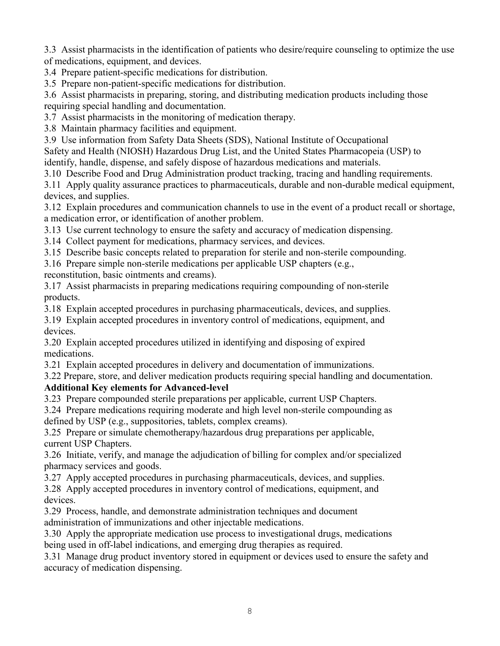3.3 Assist pharmacists in the identification of patients who desire/require counseling to optimize the use of medications, equipment, and devices.

3.4 Prepare patient-specific medications for distribution.

3.5 Prepare non-patient-specific medications for distribution.

3.6 Assist pharmacists in preparing, storing, and distributing medication products including those

requiring special handling and documentation.

3.7 Assist pharmacists in the monitoring of medication therapy.

3.8 Maintain pharmacy facilities and equipment.

3.9 Use information from Safety Data Sheets (SDS), National Institute of Occupational

Safety and Health (NIOSH) Hazardous Drug List, and the United States Pharmacopeia (USP) to

identify, handle, dispense, and safely dispose of hazardous medications and materials.

3.10 Describe Food and Drug Administration product tracking, tracing and handling requirements.

3.11 Apply quality assurance practices to pharmaceuticals, durable and non-durable medical equipment, devices, and supplies.

3.12 Explain procedures and communication channels to use in the event of a product recall or shortage, a medication error, or identification of another problem.

3.13 Use current technology to ensure the safety and accuracy of medication dispensing.

3.14 Collect payment for medications, pharmacy services, and devices.

3.15 Describe basic concepts related to preparation for sterile and non-sterile compounding.

3.16 Prepare simple non-sterile medications per applicable USP chapters (e.g.,

reconstitution, basic ointments and creams).

3.17 Assist pharmacists in preparing medications requiring compounding of non-sterile products.

3.18 Explain accepted procedures in purchasing pharmaceuticals, devices, and supplies.

3.19 Explain accepted procedures in inventory control of medications, equipment, and devices.

3.20 Explain accepted procedures utilized in identifying and disposing of expired medications.

3.21 Explain accepted procedures in delivery and documentation of immunizations.

3.22 Prepare, store, and deliver medication products requiring special handling and documentation.

#### **Additional Key elements for Advanced-level**

3.23 Prepare compounded sterile preparations per applicable, current USP Chapters.

3.24 Prepare medications requiring moderate and high level non-sterile compounding as

defined by USP (e.g., suppositories, tablets, complex creams).

3.25 Prepare or simulate chemotherapy/hazardous drug preparations per applicable, current USP Chapters.

3.26 Initiate, verify, and manage the adjudication of billing for complex and/or specialized pharmacy services and goods.

3.27 Apply accepted procedures in purchasing pharmaceuticals, devices, and supplies.

3.28 Apply accepted procedures in inventory control of medications, equipment, and devices.

3.29 Process, handle, and demonstrate administration techniques and document

administration of immunizations and other injectable medications.

3.30 Apply the appropriate medication use process to investigational drugs, medications being used in off-label indications, and emerging drug therapies as required.

3.31 Manage drug product inventory stored in equipment or devices used to ensure the safety and accuracy of medication dispensing.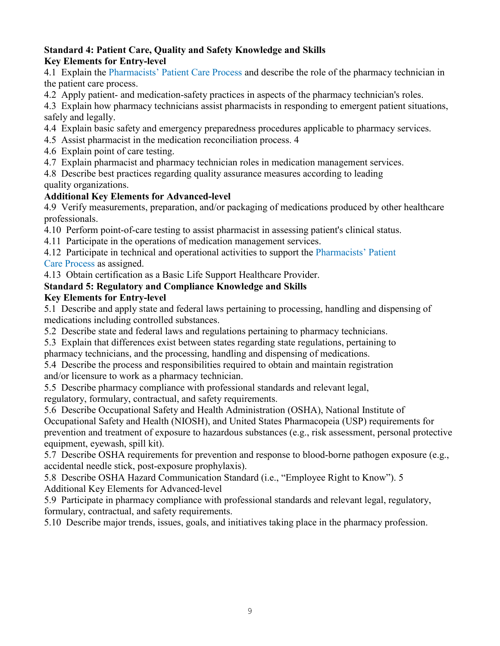#### **Standard 4: Patient Care, Quality and Safety Knowledge and Skills Key Elements for Entry-level**

4.1 Explain the Pharmacists' Patient Care Process and describe the role of the pharmacy technician in the patient care process.

4.2 Apply patient- and medication-safety practices in aspects of the pharmacy technician's roles.

4.3 Explain how pharmacy technicians assist pharmacists in responding to emergent patient situations, safely and legally.

4.4 Explain basic safety and emergency preparedness procedures applicable to pharmacy services.

4.5 Assist pharmacist in the medication reconciliation process. 4

- 4.6 Explain point of care testing.
- 4.7 Explain pharmacist and pharmacy technician roles in medication management services.

4.8 Describe best practices regarding quality assurance measures according to leading quality organizations.

#### **Additional Key Elements for Advanced-level**

4.9 Verify measurements, preparation, and/or packaging of medications produced by other healthcare professionals.

4.10 Perform point-of-care testing to assist pharmacist in assessing patient's clinical status.

4.11 Participate in the operations of medication management services.

4.12 Participate in technical and operational activities to support the Pharmacists' Patient Care Process as assigned.

4.13 Obtain certification as a Basic Life Support Healthcare Provider.

## **Standard 5: Regulatory and Compliance Knowledge and Skills**

#### **Key Elements for Entry-level**

5.1 Describe and apply state and federal laws pertaining to processing, handling and dispensing of medications including controlled substances.

5.2 Describe state and federal laws and regulations pertaining to pharmacy technicians.

5.3 Explain that differences exist between states regarding state regulations, pertaining to pharmacy technicians, and the processing, handling and dispensing of medications.

- 5.4 Describe the process and responsibilities required to obtain and maintain registration and/or licensure to work as a pharmacy technician.
- 5.5 Describe pharmacy compliance with professional standards and relevant legal,

regulatory, formulary, contractual, and safety requirements.

5.6 Describe Occupational Safety and Health Administration (OSHA), National Institute of Occupational Safety and Health (NIOSH), and United States Pharmacopeia (USP) requirements for prevention and treatment of exposure to hazardous substances (e.g., risk assessment, personal protective equipment, eyewash, spill kit).

5.7 Describe OSHA requirements for prevention and response to blood-borne pathogen exposure (e.g., accidental needle stick, post-exposure prophylaxis).

5.8 Describe OSHA Hazard Communication Standard (i.e., "Employee Right to Know"). 5 Additional Key Elements for Advanced-level

5.9 Participate in pharmacy compliance with professional standards and relevant legal, regulatory, formulary, contractual, and safety requirements.

5.10 Describe major trends, issues, goals, and initiatives taking place in the pharmacy profession.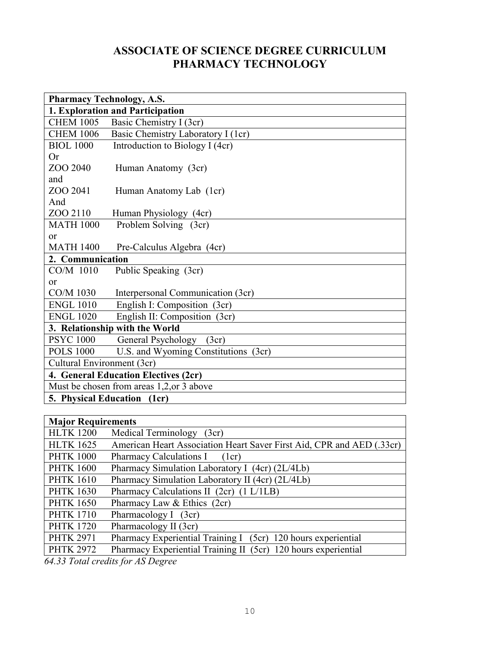## **ASSOCIATE OF SCIENCE DEGREE CURRICULUM PHARMACY TECHNOLOGY**

| <b>Pharmacy Technology, A.S.</b>          |                                      |  |  |  |
|-------------------------------------------|--------------------------------------|--|--|--|
|                                           | 1. Exploration and Participation     |  |  |  |
| <b>CHEM 1005</b>                          | Basic Chemistry I (3cr)              |  |  |  |
| <b>CHEM 1006</b>                          | Basic Chemistry Laboratory I (1cr)   |  |  |  |
| <b>BIOL 1000</b>                          | Introduction to Biology I (4cr)      |  |  |  |
| Or                                        |                                      |  |  |  |
| ZOO 2040                                  | Human Anatomy (3cr)                  |  |  |  |
| and                                       |                                      |  |  |  |
| ZOO 2041                                  | Human Anatomy Lab (1cr)              |  |  |  |
| And                                       |                                      |  |  |  |
| ZOO 2110                                  | Human Physiology (4cr)               |  |  |  |
| <b>MATH 1000</b>                          | Problem Solving (3cr)                |  |  |  |
| <b>or</b>                                 |                                      |  |  |  |
| <b>MATH 1400</b>                          | Pre-Calculus Algebra (4cr)           |  |  |  |
| 2. Communication                          |                                      |  |  |  |
| CO/M 1010                                 | Public Speaking (3cr)                |  |  |  |
| <sub>or</sub>                             |                                      |  |  |  |
| CO/M 1030                                 | Interpersonal Communication (3cr)    |  |  |  |
| <b>ENGL 1010</b>                          | English I: Composition (3cr)         |  |  |  |
| <b>ENGL 1020</b>                          | English II: Composition (3cr)        |  |  |  |
| 3. Relationship with the World            |                                      |  |  |  |
| <b>PSYC 1000</b>                          | General Psychology<br>(3cr)          |  |  |  |
| <b>POLS 1000</b>                          | U.S. and Wyoming Constitutions (3cr) |  |  |  |
| Cultural Environment (3cr)                |                                      |  |  |  |
| 4. General Education Electives (2cr)      |                                      |  |  |  |
| Must be chosen from areas 1,2, or 3 above |                                      |  |  |  |
| <b>5. Physical Education</b>              | (1cr)                                |  |  |  |

| <b>Major Requirements</b> |                                                                       |  |  |
|---------------------------|-----------------------------------------------------------------------|--|--|
| <b>HLTK 1200</b>          | Medical Terminology<br>(3cr)                                          |  |  |
| <b>HLTK 1625</b>          | American Heart Association Heart Saver First Aid, CPR and AED (.33cr) |  |  |
| <b>PHTK 1000</b>          | Pharmacy Calculations I (1cr)                                         |  |  |
| <b>PHTK 1600</b>          | Pharmacy Simulation Laboratory I (4cr) (2L/4Lb)                       |  |  |
| <b>PHTK 1610</b>          | Pharmacy Simulation Laboratory II (4cr) (2L/4Lb)                      |  |  |
| <b>PHTK 1630</b>          | Pharmacy Calculations II (2cr) (1 L/1LB)                              |  |  |
| <b>PHTK 1650</b>          | Pharmacy Law & Ethics (2cr)                                           |  |  |
| <b>PHTK 1710</b>          | Pharmacology I (3cr)                                                  |  |  |
| <b>PHTK 1720</b>          | Pharmacology II (3cr)                                                 |  |  |
| <b>PHTK 2971</b>          | Pharmacy Experiential Training I (5cr) 120 hours experiential         |  |  |
| <b>PHTK 2972</b>          | Pharmacy Experiential Training II (5cr) 120 hours experiential        |  |  |
|                           |                                                                       |  |  |

*64.33 Total credits for AS Degree*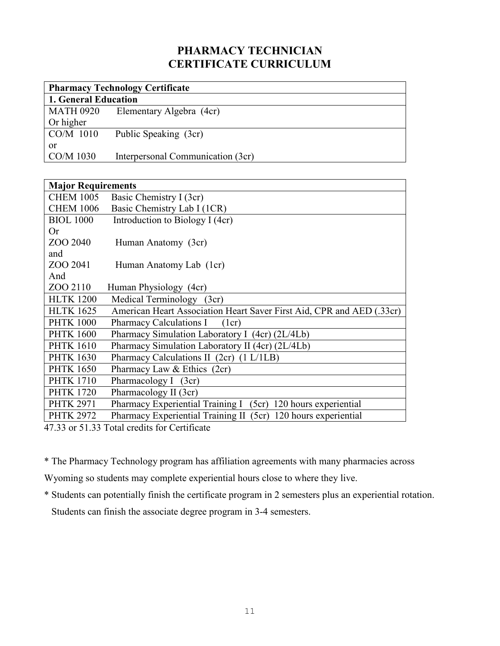## **PHARMACY TECHNICIAN CERTIFICATE CURRICULUM**

| <b>Pharmacy Technology Certificate</b>       |                                   |  |  |
|----------------------------------------------|-----------------------------------|--|--|
| 1. General Education                         |                                   |  |  |
| <b>MATH 0920</b><br>Elementary Algebra (4cr) |                                   |  |  |
| Or higher                                    |                                   |  |  |
| CO/M 1010                                    | Public Speaking (3cr)             |  |  |
| or                                           |                                   |  |  |
| CO/M 1030                                    | Interpersonal Communication (3cr) |  |  |

| <b>Major Requirements</b> |                                                                       |
|---------------------------|-----------------------------------------------------------------------|
| <b>CHEM 1005</b>          | Basic Chemistry I (3cr)                                               |
| <b>CHEM 1006</b>          | Basic Chemistry Lab I (1CR)                                           |
| <b>BIOL 1000</b>          | Introduction to Biology I (4cr)                                       |
| Or                        |                                                                       |
| ZOO 2040                  | Human Anatomy (3cr)                                                   |
| and                       |                                                                       |
| ZOO 2041                  | Human Anatomy Lab (1cr)                                               |
| And                       |                                                                       |
| ZOO 2110                  | Human Physiology (4cr)                                                |
| <b>HLTK 1200</b>          | Medical Terminology (3cr)                                             |
| <b>HLTK 1625</b>          | American Heart Association Heart Saver First Aid, CPR and AED (.33cr) |
| <b>PHTK 1000</b>          | <b>Pharmacy Calculations I</b><br>(1cr)                               |
| <b>PHTK 1600</b>          | Pharmacy Simulation Laboratory I (4cr) (2L/4Lb)                       |
| <b>PHTK 1610</b>          | Pharmacy Simulation Laboratory II (4cr) (2L/4Lb)                      |
| <b>PHTK 1630</b>          | Pharmacy Calculations II (2cr) (1 L/1LB)                              |
| <b>PHTK 1650</b>          | Pharmacy Law & Ethics (2cr)                                           |
| <b>PHTK 1710</b>          | Pharmacology I (3cr)                                                  |
| <b>PHTK 1720</b>          | Pharmacology II (3cr)                                                 |
| <b>PHTK 2971</b>          | Pharmacy Experiential Training I (5cr) 120 hours experiential         |
| <b>PHTK 2972</b>          | Pharmacy Experiential Training II (5cr) 120 hours experiential        |
|                           | $17.22 \text{ or } 51.22 \text{ Total } gradient$ for Contificate     |

47.33 or 51.33 Total credits for Certificate

\* The Pharmacy Technology program has affiliation agreements with many pharmacies across

Wyoming so students may complete experiential hours close to where they live.

\* Students can potentially finish the certificate program in 2 semesters plus an experiential rotation. Students can finish the associate degree program in 3-4 semesters.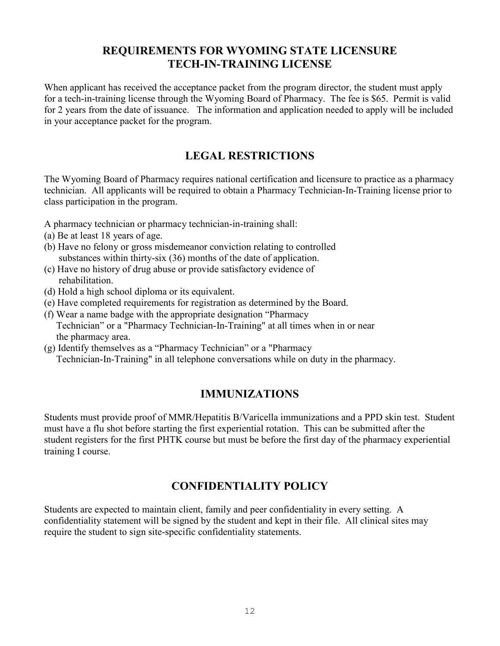## **REQUIREMENTS FOR WYOMING STATE LICENSURE TECH-IN-TRAINING LICENSE**

When applicant has received the acceptance packet from the program director, the student must apply for a tech-in-training license through the Wyoming Board of Pharmacy. The fee is \$65. Permit is valid for 2 years from the date of issuance. The information and application needed to apply will be included in your acceptance packet for the program.

## **LEGAL RESTRICTIONS**

The Wyoming Board of Pharmacy requires national certification and licensure to practice as a pharmacy technician. All applicants will be required to obtain a Pharmacy Technician-In-Training license prior to class participation in the program.

A pharmacy technician or pharmacy technician-in-training shall:

- (a) Be at least 18 years of age.
- (b) Have no felony or gross misdemeanor conviction relating to controlled substances within thirty-six (36) months of the date of application.
- (c) Have no history of drug abuse or provide satisfactory evidence of rehabilitation.
- (d) Hold a high school diploma or its equivalent.
- (e) Have completed requirements for registration as determined by the Board.
- (f) Wear a name badge with the appropriate designation "Pharmacy Technician" or a "Pharmacy Technician-In-Training" at all times when in or near the pharmacy area.
- (g) Identify themselves as a "Pharmacy Technician" or a "Pharmacy Technician-In-Training" in all telephone conversations while on duty in the pharmacy.

## **IMMUNIZATIONS**

Students must provide proof of MMR/Hepatitis B/Varicella immunizations and a PPD skin test. Student must have a flu shot before starting the first experiential rotation. This can be submitted after the student registers for the first PHTK course but must be before the first day of the pharmacy experiential training I course.

## **CONFIDENTIALITY POLICY**

Students are expected to maintain client, family and peer confidentiality in every setting. A confidentiality statement will be signed by the student and kept in their file. All clinical sites may require the student to sign site-specific confidentiality statements.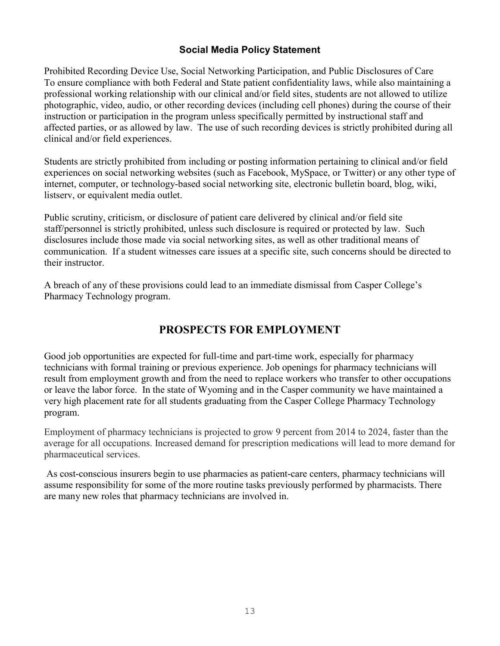#### **Social Media Policy Statement**

Prohibited Recording Device Use, Social Networking Participation, and Public Disclosures of Care To ensure compliance with both Federal and State patient confidentiality laws, while also maintaining a professional working relationship with our clinical and/or field sites, students are not allowed to utilize photographic, video, audio, or other recording devices (including cell phones) during the course of their instruction or participation in the program unless specifically permitted by instructional staff and affected parties, or as allowed by law. The use of such recording devices is strictly prohibited during all clinical and/or field experiences.

Students are strictly prohibited from including or posting information pertaining to clinical and/or field experiences on social networking websites (such as Facebook, MySpace, or Twitter) or any other type of internet, computer, or technology-based social networking site, electronic bulletin board, blog, wiki, listserv, or equivalent media outlet.

Public scrutiny, criticism, or disclosure of patient care delivered by clinical and/or field site staff/personnel is strictly prohibited, unless such disclosure is required or protected by law. Such disclosures include those made via social networking sites, as well as other traditional means of communication. If a student witnesses care issues at a specific site, such concerns should be directed to their instructor.

A breach of any of these provisions could lead to an immediate dismissal from Casper College's Pharmacy Technology program.

## **PROSPECTS FOR EMPLOYMENT**

[Good job opportunities](http://www.bls.gov/oco/oco20016.htm) are expected for full-time and part-time work, especially for pharmacy technicians with formal training or previous experience. Job openings for pharmacy technicians will result from employment growth and from the need to replace workers who transfer to other occupations or leave the labor force. In the state of Wyoming and in the Casper community we have maintained a very high placement rate for all students graduating from the Casper College Pharmacy Technology program.

Employment of pharmacy technicians is projected to grow 9 percent from 2014 to 2024, faster than the average for all occupations. Increased demand for prescription medications will lead to more demand for pharmaceutical services.

As cost-conscious insurers begin to use pharmacies as patient-care centers, pharmacy technicians will assume responsibility for some of the more routine tasks previously performed by pharmacists. There are many new roles that pharmacy technicians are involved in.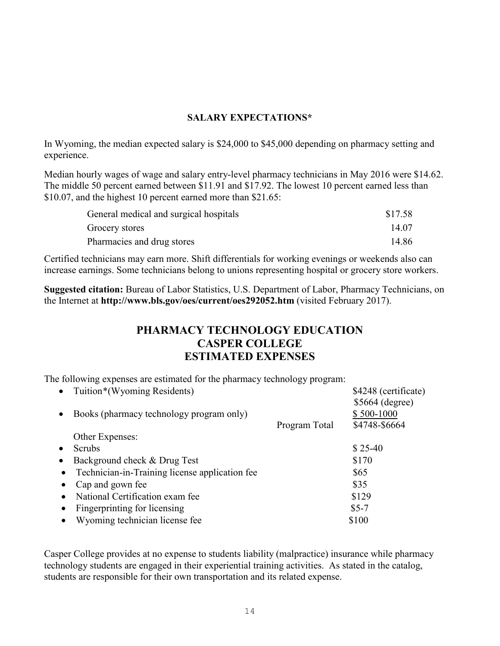#### **SALARY EXPECTATIONS\***

In Wyoming, the median expected salary is \$24,000 to \$45,000 depending on pharmacy setting and experience.

Median hourly wages of wage and salary entry-level pharmacy technicians in May 2016 were \$14.62. The middle 50 percent earned between \$11.91 and \$17.92. The lowest 10 percent earned less than \$10.07, and the highest 10 percent earned more than \$21.65:

| General medical and surgical hospitals | \$17.58 |
|----------------------------------------|---------|
| Grocery stores                         | 14.07   |
| Pharmacies and drug stores             | 14.86   |

Certified technicians may earn more. Shift differentials for working evenings or weekends also can increase earnings. Some technicians belong to unions representing hospital or grocery store workers.

**Suggested citation:** Bureau of Labor Statistics, U.S. Department of Labor, Pharmacy Technicians, on the Internet at **http://www.bls.gov/oes/current/oes292052.htm** (visited February 2017).

## **PHARMACY TECHNOLOGY EDUCATION CASPER COLLEGE ESTIMATED EXPENSES**

The following expenses are estimated for the pharmacy technology program:

|           | Tuition*(Wyoming Residents)                    |               | \$4248 (certificate) |
|-----------|------------------------------------------------|---------------|----------------------|
|           |                                                |               | $$5664$ (degree)     |
|           | Books (pharmacy technology program only)       |               | \$500-1000           |
|           |                                                | Program Total | \$4748-\$6664        |
|           | Other Expenses:                                |               |                      |
|           | Scrubs                                         |               | $$25-40$             |
| $\bullet$ | Background check & Drug Test                   |               | \$170                |
| $\bullet$ | Technician-in-Training license application fee |               | \$65                 |
|           | Cap and gown fee                               |               | \$35                 |
|           | National Certification exam fee                |               | \$129                |
|           | Fingerprinting for licensing                   |               | $$5-7$               |
|           | Wyoming technician license fee                 |               | \$100                |

Casper College provides at no expense to students liability (malpractice) insurance while pharmacy technology students are engaged in their experiential training activities. As stated in the catalog, students are responsible for their own transportation and its related expense.